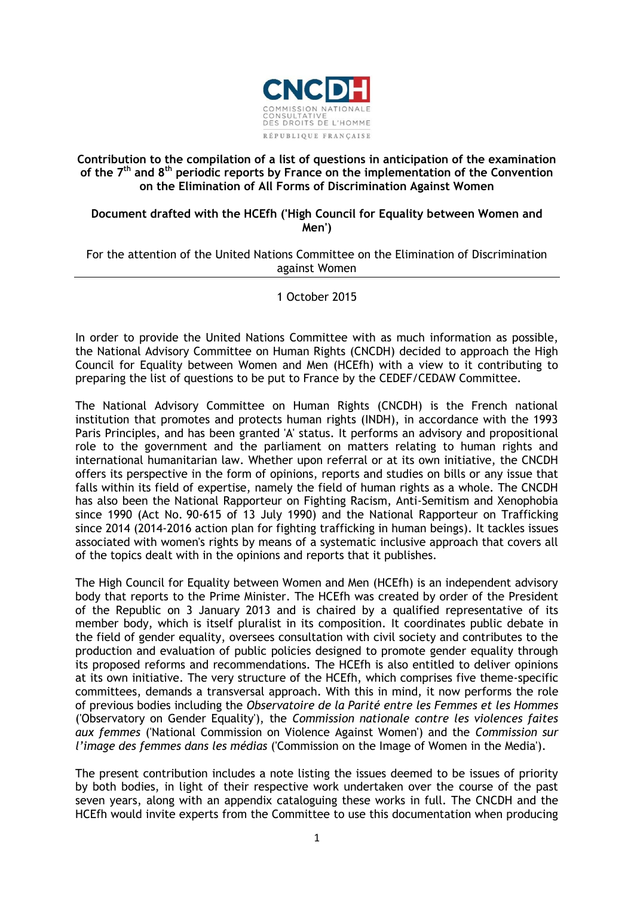

## **Contribution to the compilation of a list of questions in anticipation of the examination of the 7th and 8th periodic reports by France on the implementation of the Convention on the Elimination of All Forms of Discrimination Against Women**

## **Document drafted with the HCEfh ('High Council for Equality between Women and Men')**

#### For the attention of the United Nations Committee on the Elimination of Discrimination against Women

## 1 October 2015

In order to provide the United Nations Committee with as much information as possible, the National Advisory Committee on Human Rights (CNCDH) decided to approach the High Council for Equality between Women and Men (HCEfh) with a view to it contributing to preparing the list of questions to be put to France by the CEDEF/CEDAW Committee.

The National Advisory Committee on Human Rights (CNCDH) is the French national institution that promotes and protects human rights (INDH), in accordance with the 1993 Paris Principles, and has been granted 'A' status. It performs an advisory and propositional role to the government and the parliament on matters relating to human rights and international humanitarian law. Whether upon referral or at its own initiative, the CNCDH offers its perspective in the form of opinions, reports and studies on bills or any issue that falls within its field of expertise, namely the field of human rights as a whole. The CNCDH has also been the National Rapporteur on Fighting Racism, Anti-Semitism and Xenophobia since 1990 (Act No. 90-615 of 13 July 1990) and the National Rapporteur on Trafficking since 2014 (2014-2016 action plan for fighting trafficking in human beings). It tackles issues associated with women's rights by means of a systematic inclusive approach that covers all of the topics dealt with in the opinions and reports that it publishes.

The High Council for Equality between Women and Men (HCEfh) is an independent advisory body that reports to the Prime Minister. The HCEfh was created by order of the President of the Republic on 3 January 2013 and is chaired by a qualified representative of its member body, which is itself pluralist in its composition. It coordinates public debate in the field of gender equality, oversees consultation with civil society and contributes to the production and evaluation of public policies designed to promote gender equality through its proposed reforms and recommendations. The HCEfh is also entitled to deliver opinions at its own initiative. The very structure of the HCEfh, which comprises five theme-specific committees, demands a transversal approach. With this in mind, it now performs the role of previous bodies including the *Observatoire de la Parité entre les Femmes et les Hommes* ('Observatory on Gender Equality'), the *Commission nationale contre les violences faites aux femmes* ('National Commission on Violence Against Women') and the *Commission sur l'image des femmes dans les médias* ('Commission on the Image of Women in the Media').

The present contribution includes a note listing the issues deemed to be issues of priority by both bodies, in light of their respective work undertaken over the course of the past seven years, along with an appendix cataloguing these works in full. The CNCDH and the HCEfh would invite experts from the Committee to use this documentation when producing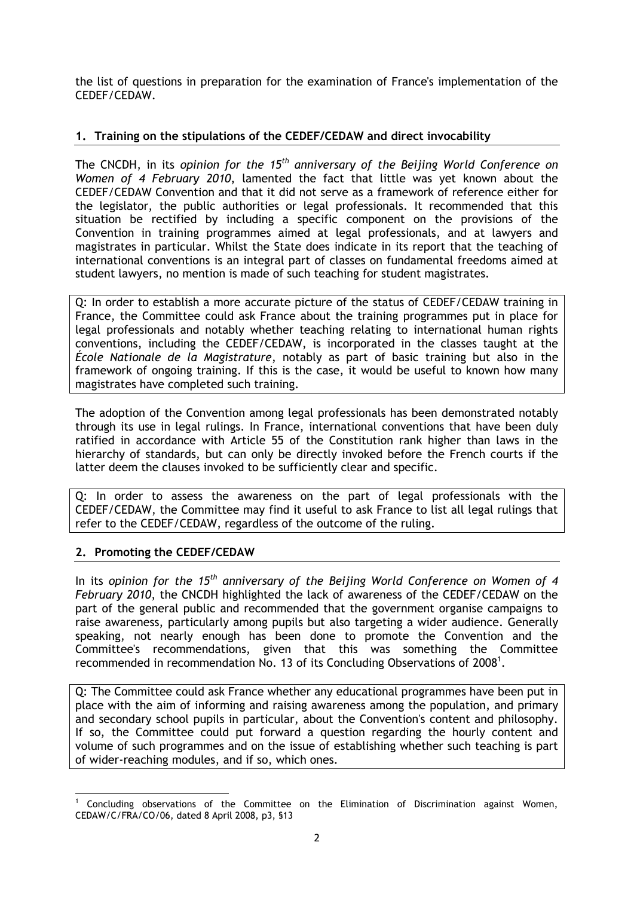the list of questions in preparation for the examination of France's implementation of the CEDEF/CEDAW.

## **1. Training on the stipulations of the CEDEF/CEDAW and direct invocability**

The CNCDH, in its *opinion for the 15th anniversary of the Beijing World Conference on Women of 4 February 2010*, lamented the fact that little was yet known about the CEDEF/CEDAW Convention and that it did not serve as a framework of reference either for the legislator, the public authorities or legal professionals. It recommended that this situation be rectified by including a specific component on the provisions of the Convention in training programmes aimed at legal professionals, and at lawyers and magistrates in particular. Whilst the State does indicate in its report that the teaching of international conventions is an integral part of classes on fundamental freedoms aimed at student lawyers, no mention is made of such teaching for student magistrates.

Q: In order to establish a more accurate picture of the status of CEDEF/CEDAW training in France, the Committee could ask France about the training programmes put in place for legal professionals and notably whether teaching relating to international human rights conventions, including the CEDEF/CEDAW, is incorporated in the classes taught at the *École Nationale de la Magistrature*, notably as part of basic training but also in the framework of ongoing training. If this is the case, it would be useful to known how many magistrates have completed such training.

The adoption of the Convention among legal professionals has been demonstrated notably through its use in legal rulings. In France, international conventions that have been duly ratified in accordance with Article 55 of the Constitution rank higher than laws in the hierarchy of standards, but can only be directly invoked before the French courts if the latter deem the clauses invoked to be sufficiently clear and specific.

Q: In order to assess the awareness on the part of legal professionals with the CEDEF/CEDAW, the Committee may find it useful to ask France to list all legal rulings that refer to the CEDEF/CEDAW, regardless of the outcome of the ruling.

# **2. Promoting the CEDEF/CEDAW**

In its *opinion for the 15th anniversary of the Beijing World Conference on Women of 4 February 2010*, the CNCDH highlighted the lack of awareness of the CEDEF/CEDAW on the part of the general public and recommended that the government organise campaigns to raise awareness, particularly among pupils but also targeting a wider audience. Generally speaking, not nearly enough has been done to promote the Convention and the Committee's recommendations, given that this was something the Committee recommended in recommendation No. 13 of its Concluding Observations of 2008<sup>1</sup>.

Q: The Committee could ask France whether any educational programmes have been put in place with the aim of informing and raising awareness among the population, and primary and secondary school pupils in particular, about the Convention's content and philosophy. If so, the Committee could put forward a question regarding the hourly content and volume of such programmes and on the issue of establishing whether such teaching is part of wider-reaching modules, and if so, which ones.

**<sup>.</sup>**  $<sup>1</sup>$  Concluding observations of the Committee on the Elimination of Discrimination against Women,</sup> CEDAW/C/FRA/CO/06, dated 8 April 2008, p3, §13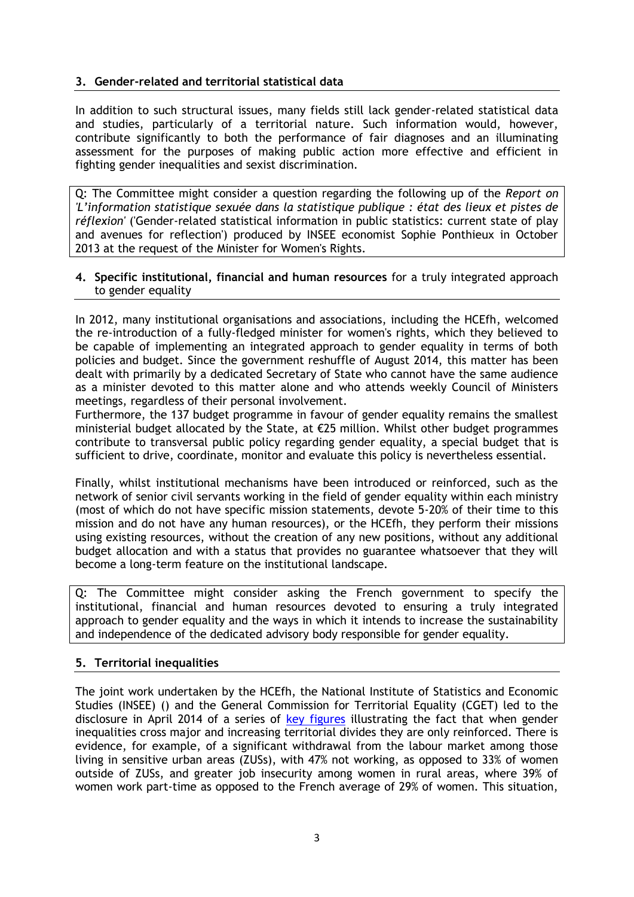## **3. Gender-related and territorial statistical data**

In addition to such structural issues, many fields still lack gender-related statistical data and studies, particularly of a territorial nature. Such information would, however, contribute significantly to both the performance of fair diagnoses and an illuminating assessment for the purposes of making public action more effective and efficient in fighting gender inequalities and sexist discrimination.

Q: The Committee might consider a question regarding the following up of the *[Report on](http://www.insee.fr/fr/insee-statistique-publique/connaitre/colloques/femme-homme/rapport-femme-homme.pdf)  'L'information statistique sexuée dans la st[atistique publique : état des lieux et pistes de](http://www.insee.fr/fr/insee-statistique-publique/connaitre/colloques/femme-homme/rapport-femme-homme.pdf)  [réflexion'](http://www.insee.fr/fr/insee-statistique-publique/connaitre/colloques/femme-homme/rapport-femme-homme.pdf)* ('Gender-related statistical information in public statistics: current state of play and avenues for reflection') produced by INSEE economist Sophie Ponthieux in October 2013 at the request of the Minister for Women's Rights.

#### **4. Specific institutional, financial and human resources** for a truly integrated approach to gender equality

In 2012, many institutional organisations and associations, including the HCEfh, welcomed the re-introduction of a fully-fledged minister for women's rights, which they believed to be capable of implementing an integrated approach to gender equality in terms of both policies and budget. Since the government reshuffle of August 2014, this matter has been dealt with primarily by a dedicated Secretary of State who cannot have the same audience as a minister devoted to this matter alone and who attends weekly Council of Ministers meetings, regardless of their personal involvement.

Furthermore, the 137 budget programme in favour of gender equality remains the smallest ministerial budget allocated by the State, at €25 million. Whilst other budget programmes contribute to transversal public policy regarding gender equality, a special budget that is sufficient to drive, coordinate, monitor and evaluate this policy is nevertheless essential.

Finally, whilst institutional mechanisms have been introduced or reinforced, such as the network of senior civil servants working in the field of gender equality within each ministry (most of which do not have specific mission statements, devote 5-20% of their time to this mission and do not have any human resources), or the HCEfh, they perform their missions using existing resources, without the creation of any new positions, without any additional budget allocation and with a status that provides no guarantee whatsoever that they will become a long-term feature on the institutional landscape.

Q: The Committee might consider asking the French government to specify the institutional, financial and human resources devoted to ensuring a truly integrated approach to gender equality and the ways in which it intends to increase the sustainability and independence of the dedicated advisory body responsible for gender equality.

# **5. Territorial inequalities**

The joint work undertaken by the HCEfh, the National Institute of Statistics and Economic Studies (INSEE) () and the General Commission for Territorial Equality (CGET) led to the disclosure in April 2014 of a series of [key figures](http://www.haut-conseil-egalite.gouv.fr/hcefh/actualites-128/article/etude-les-chiffres-cles-des-809) illustrating the fact that when gender inequalities cross major and increasing territorial divides they are only reinforced. There is evidence, for example, of a significant withdrawal from the labour market among those living in sensitive urban areas (ZUSs), with 47% not working, as opposed to 33% of women outside of ZUSs, and greater job insecurity among women in rural areas, where 39% of women work part-time as opposed to the French average of 29% of women. This situation,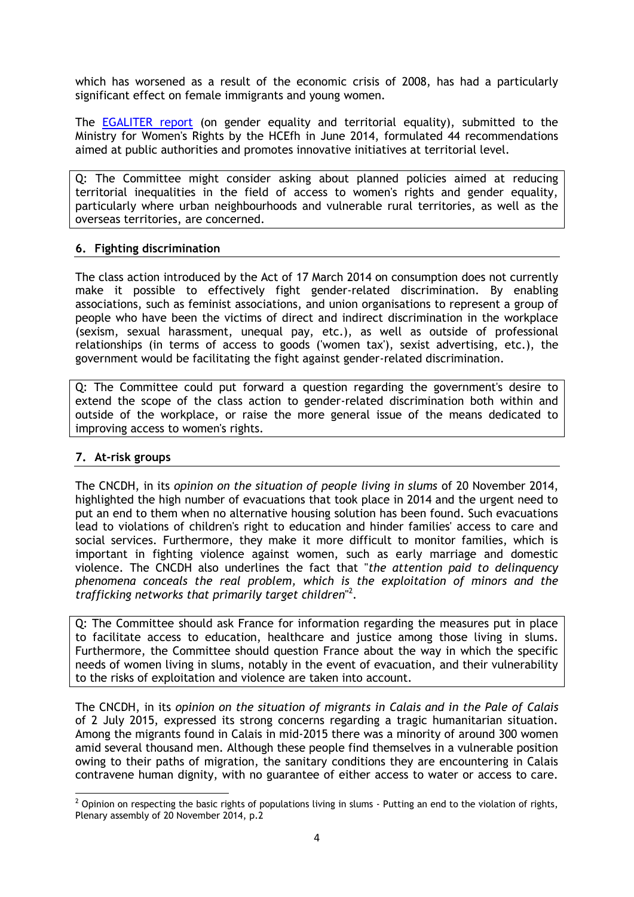which has worsened as a result of the economic crisis of 2008, has had a particularly significant effect on female immigrants and young women.

The [EGALITER report](http://www.haut-conseil-egalite.gouv.fr/hcefh/actualites-128/article/remise-du-rapport-egaliter-a-mme) (on gender equality and territorial equality), submitted to the Ministry for Women's Rights by the HCEfh in June 2014, formulated 44 recommendations aimed at public authorities and promotes innovative initiatives at territorial level.

Q: The Committee might consider asking about planned policies aimed at reducing territorial inequalities in the field of access to women's rights and gender equality, particularly where urban neighbourhoods and vulnerable rural territories, as well as the overseas territories, are concerned.

#### **6. Fighting discrimination**

The class action introduced by the Act of 17 March 2014 on consumption does not currently make it possible to effectively fight gender-related discrimination. By enabling associations, such as feminist associations, and union organisations to represent a group of people who have been the victims of direct and indirect discrimination in the workplace (sexism, sexual harassment, unequal pay, etc.), as well as outside of professional relationships (in terms of access to goods ('women tax'), sexist advertising, etc.), the government would be facilitating the fight against gender-related discrimination.

Q: The Committee could put forward a question regarding the government's desire to extend the scope of the class action to gender-related discrimination both within and outside of the workplace, or raise the more general issue of the means dedicated to improving access to women's rights.

#### **7. At-risk groups**

The CNCDH, in its *opinion on the situation of people living in slums* of 20 November 2014, highlighted the high number of evacuations that took place in 2014 and the urgent need to put an end to them when no alternative housing solution has been found. Such evacuations lead to violations of children's right to education and hinder families' access to care and social services. Furthermore, they make it more difficult to monitor families, which is important in fighting violence against women, such as early marriage and domestic violence. The CNCDH also underlines the fact that "*the attention paid to delinquency phenomena conceals the real problem, which is the exploitation of minors and the trafficking networks that primarily target children*" 2 .

Q: The Committee should ask France for information regarding the measures put in place to facilitate access to education, healthcare and justice among those living in slums. Furthermore, the Committee should question France about the way in which the specific needs of women living in slums, notably in the event of evacuation, and their vulnerability to the risks of exploitation and violence are taken into account.

The CNCDH, in its *opinion on the situation of migrants in Calais and in the Pale of Calais* of 2 July 2015, expressed its strong concerns regarding a tragic humanitarian situation. Among the migrants found in Calais in mid-2015 there was a minority of around 300 women amid several thousand men. Although these people find themselves in a vulnerable position owing to their paths of migration, the sanitary conditions they are encountering in Calais contravene human dignity, with no guarantee of either access to water or access to care.

**<sup>.</sup>**  $^2$  Opinion on respecting the basic rights of populations living in slums - Putting an end to the violation of rights, Plenary assembly of 20 November 2014, p.2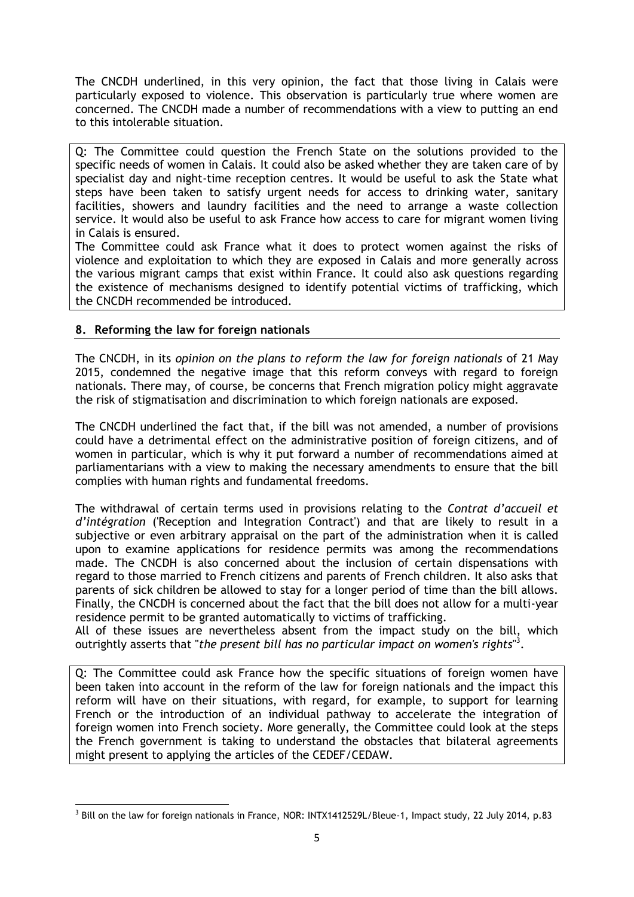The CNCDH underlined, in this very opinion, the fact that those living in Calais were particularly exposed to violence. This observation is particularly true where women are concerned. The CNCDH made a number of recommendations with a view to putting an end to this intolerable situation.

Q: The Committee could question the French State on the solutions provided to the specific needs of women in Calais. It could also be asked whether they are taken care of by specialist day and night-time reception centres. It would be useful to ask the State what steps have been taken to satisfy urgent needs for access to drinking water, sanitary facilities, showers and laundry facilities and the need to arrange a waste collection service. It would also be useful to ask France how access to care for migrant women living in Calais is ensured.

The Committee could ask France what it does to protect women against the risks of violence and exploitation to which they are exposed in Calais and more generally across the various migrant camps that exist within France. It could also ask questions regarding the existence of mechanisms designed to identify potential victims of trafficking, which the CNCDH recommended be introduced.

## **8. Reforming the law for foreign nationals**

The CNCDH, in its *opinion on the plans to reform the law for foreign nationals* of 21 May 2015, condemned the negative image that this reform conveys with regard to foreign nationals. There may, of course, be concerns that French migration policy might aggravate the risk of stigmatisation and discrimination to which foreign nationals are exposed.

The CNCDH underlined the fact that, if the bill was not amended, a number of provisions could have a detrimental effect on the administrative position of foreign citizens, and of women in particular, which is why it put forward a number of recommendations aimed at parliamentarians with a view to making the necessary amendments to ensure that the bill complies with human rights and fundamental freedoms.

The withdrawal of certain terms used in provisions relating to the *Contrat d'accueil et d'intégration* ('Reception and Integration Contract') and that are likely to result in a subjective or even arbitrary appraisal on the part of the administration when it is called upon to examine applications for residence permits was among the recommendations made. The CNCDH is also concerned about the inclusion of certain dispensations with regard to those married to French citizens and parents of French children. It also asks that parents of sick children be allowed to stay for a longer period of time than the bill allows. Finally, the CNCDH is concerned about the fact that the bill does not allow for a multi-year residence permit to be granted automatically to victims of trafficking.

All of these issues are nevertheless absent from the impact study on the bill, which outrightly asserts that "*the present bill has no particular impact on women's rights*" 3 .

Q: The Committee could ask France how the specific situations of foreign women have been taken into account in the reform of the law for foreign nationals and the impact this reform will have on their situations, with regard, for example, to support for learning French or the introduction of an individual pathway to accelerate the integration of foreign women into French society. More generally, the Committee could look at the steps the French government is taking to understand the obstacles that bilateral agreements might present to applying the articles of the CEDEF/CEDAW.

 3 Bill on the law for foreign nationals in France, NOR: INTX1412529L/Bleue-1, Impact study, 22 July 2014, p.83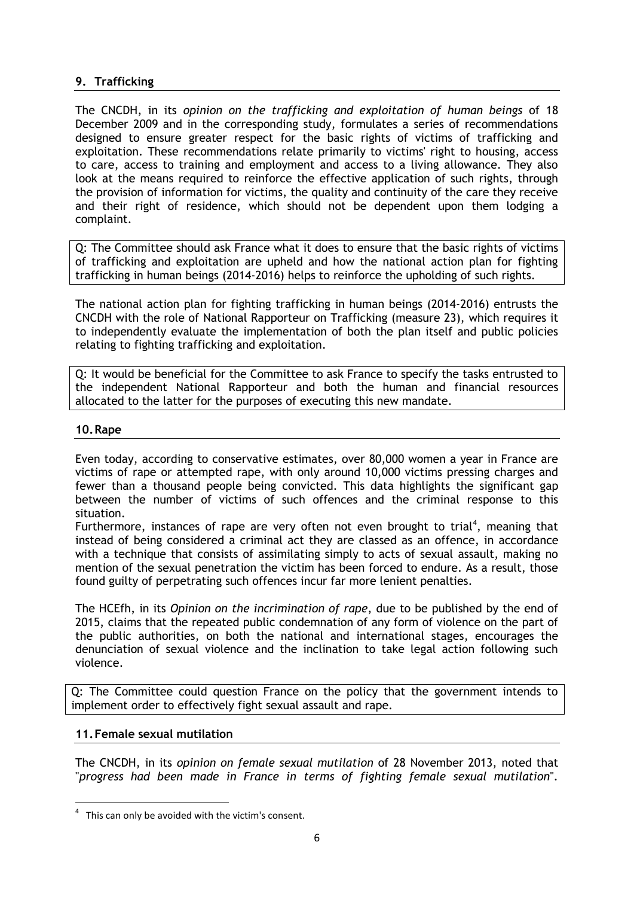## **9. Trafficking**

The CNCDH, in its *opinion on the trafficking and exploitation of human beings* of 18 December 2009 and in the corresponding study, formulates a series of recommendations designed to ensure greater respect for the basic rights of victims of trafficking and exploitation. These recommendations relate primarily to victims' right to housing, access to care, access to training and employment and access to a living allowance. They also look at the means required to reinforce the effective application of such rights, through the provision of information for victims, the quality and continuity of the care they receive and their right of residence, which should not be dependent upon them lodging a complaint.

Q: The Committee should ask France what it does to ensure that the basic rights of victims of trafficking and exploitation are upheld and how the national action plan for fighting trafficking in human beings (2014-2016) helps to reinforce the upholding of such rights.

The national action plan for fighting trafficking in human beings (2014-2016) entrusts the CNCDH with the role of National Rapporteur on Trafficking (measure 23), which requires it to independently evaluate the implementation of both the plan itself and public policies relating to fighting trafficking and exploitation.

Q: It would be beneficial for the Committee to ask France to specify the tasks entrusted to the independent National Rapporteur and both the human and financial resources allocated to the latter for the purposes of executing this new mandate.

#### **10.Rape**

Even today, according to conservative estimates, over 80,000 women a year in France are victims of rape or attempted rape, with only around 10,000 victims pressing charges and fewer than a thousand people being convicted. This data highlights the significant gap between the number of victims of such offences and the criminal response to this situation.

Furthermore, instances of rape are very often not even brought to trial<sup>4</sup>, meaning that instead of being considered a criminal act they are classed as an offence, in accordance with a technique that consists of assimilating simply to acts of sexual assault, making no mention of the sexual penetration the victim has been forced to endure. As a result, those found guilty of perpetrating such offences incur far more lenient penalties.

The HCEfh, in its *Opinion on the incrimination of rape*, due to be published by the end of 2015, claims that the repeated public condemnation of any form of violence on the part of the public authorities, on both the national and international stages, encourages the denunciation of sexual violence and the inclination to take legal action following such violence.

Q: The Committee could question France on the policy that the government intends to implement order to effectively fight sexual assault and rape.

#### **11.Female sexual mutilation**

**.** 

The CNCDH, in its *opinion on female sexual mutilation* of 28 November 2013, noted that "*progress had been made in France in terms of fighting female sexual mutilation*"*.*

<sup>4</sup> This can only be avoided with the victim's consent.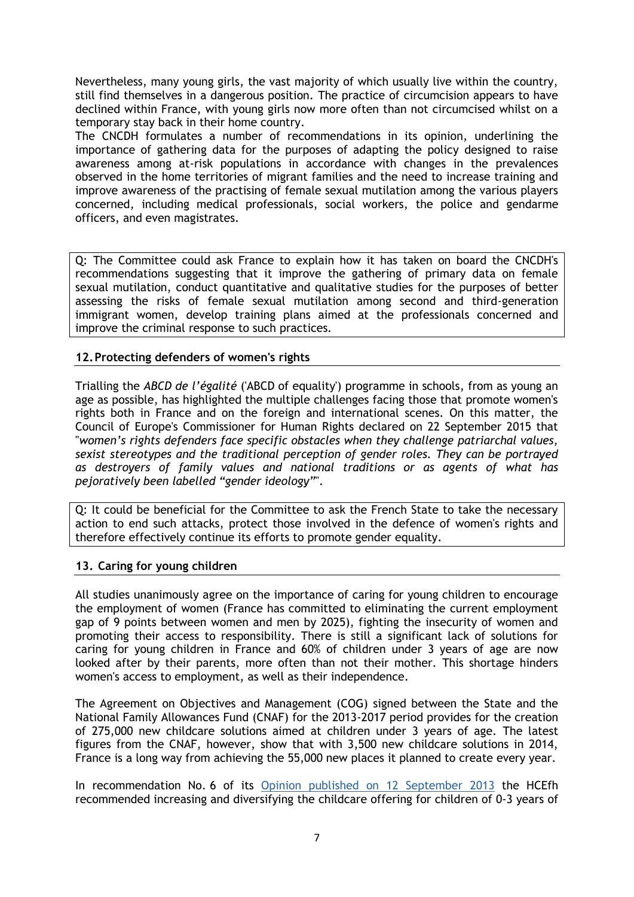Nevertheless, many young girls, the vast majority of which usually live within the country, still find themselves in a dangerous position. The practice of circumcision appears to have declined within France, with young girls now more often than not circumcised whilst on a temporary stay back in their home country.

The CNCDH formulates a number of recommendations in its opinion, underlining the importance of gathering data for the purposes of adapting the policy designed to raise awareness among at-risk populations in accordance with changes in the prevalences observed in the home territories of migrant families and the need to increase training and improve awareness of the practising of female sexual mutilation among the various players concerned, including medical professionals, social workers, the police and gendarme officers, and even magistrates.

Q: The Committee could ask France to explain how it has taken on board the CNCDH's recommendations suggesting that it improve the gathering of primary data on female sexual mutilation, conduct quantitative and qualitative studies for the purposes of better assessing the risks of female sexual mutilation among second and third-generation immigrant women, develop training plans aimed at the professionals concerned and improve the criminal response to such practices.

## **12.Protecting defenders of women's rights**

Trialling the *ABCD de l'égalité* ('ABCD of equality') programme in schools, from as young an age as possible, has highlighted the multiple challenges facing those that promote women's rights both in France and on the foreign and international scenes. On this matter, the Council of Europe's Commissioner for Human Rights declared on 22 September 2015 that "*women's rights defenders face specific obstacles when they challenge patriarchal values, sexist stereotypes and the traditional perception of gender roles. They can be portrayed as destroyers of family values and national traditions or as agents of what has pejoratively been labelled "gender ideology"*".

Q: It could be beneficial for the Committee to ask the French State to take the necessary action to end such attacks, protect those involved in the defence of women's rights and therefore effectively continue its efforts to promote gender equality.

#### **13. Caring for young children**

All studies unanimously agree on the importance of caring for young children to encourage the employment of women (France has committed to eliminating the current employment gap of 9 points between women and men by 2025), fighting the insecurity of women and promoting their access to responsibility. There is still a significant lack of solutions for caring for young children in France and 60% of children under 3 years of age are now looked after by their parents, more often than not their mother. This shortage hinders women's access to employment, as well as their independence.

The Agreement on Objectives and Management (COG) signed between the State and the National Family Allowances Fund (CNAF) for the 2013-2017 period provides for the creation of 275,000 new childcare solutions aimed at children under 3 years of age. The latest figures from the CNAF, however, show that with 3,500 new childcare solutions in 2014, France is a long way from achieving the 55,000 new places it planned to create every year.

In recommendation No. 6 of its [Opinion published on 12 September 2013](http://www.haut-conseil-egalite.gouv.fr/hcefh/actualites-128/article/projet-de-loi-pour-l-egalite-entre-719) the HCEfh recommended increasing and diversifying the childcare offering for children of 0-3 years of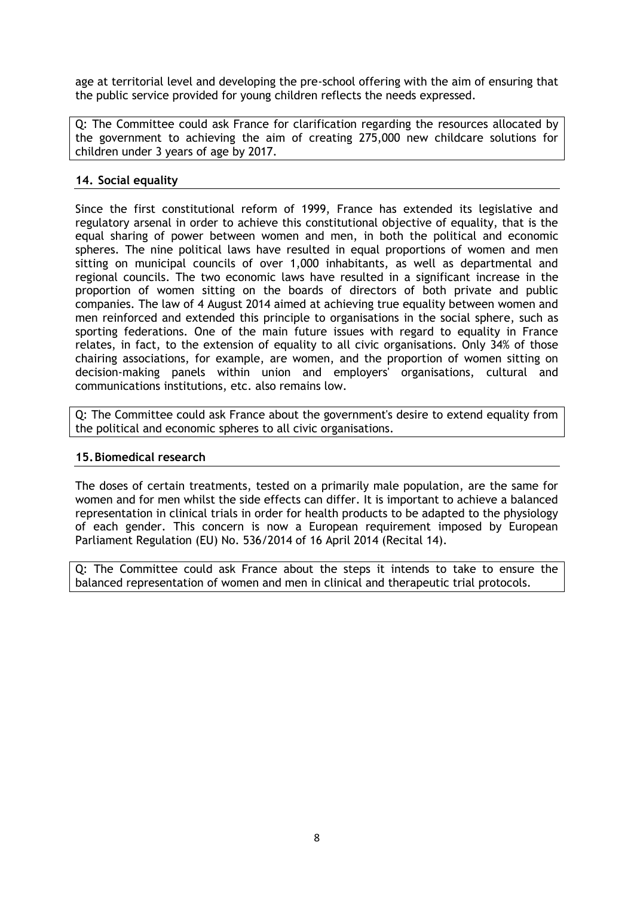age at territorial level and developing the pre-school offering with the aim of ensuring that the public service provided for young children reflects the needs expressed.

Q: The Committee could ask France for clarification regarding the resources allocated by the government to achieving the aim of creating 275,000 new childcare solutions for children under 3 years of age by 2017.

## **14. Social equality**

Since the first constitutional reform of 1999, France has extended its legislative and regulatory arsenal in order to achieve this constitutional objective of equality, that is the equal sharing of power between women and men, in both the political and economic spheres. The nine political laws have resulted in equal proportions of women and men sitting on municipal councils of over 1,000 inhabitants, as well as departmental and regional councils. The two economic laws have resulted in a significant increase in the proportion of women sitting on the boards of directors of both private and public companies. The law of 4 August 2014 aimed at achieving true equality between women and men reinforced and extended this principle to organisations in the social sphere, such as sporting federations. One of the main future issues with regard to equality in France relates, in fact, to the extension of equality to all civic organisations. Only 34% of those chairing associations, for example, are women, and the proportion of women sitting on decision-making panels within union and employers' organisations, cultural and communications institutions, etc. also remains low.

Q: The Committee could ask France about the government's desire to extend equality from the political and economic spheres to all civic organisations.

#### **15.Biomedical research**

The doses of certain treatments, tested on a primarily male population, are the same for women and for men whilst the side effects can differ. It is important to achieve a balanced representation in clinical trials in order for health products to be adapted to the physiology of each gender. This concern is now a European requirement imposed by European Parliament Regulation (EU) No. 536/2014 of 16 April 2014 (Recital 14).

Q: The Committee could ask France about the steps it intends to take to ensure the balanced representation of women and men in clinical and therapeutic trial protocols.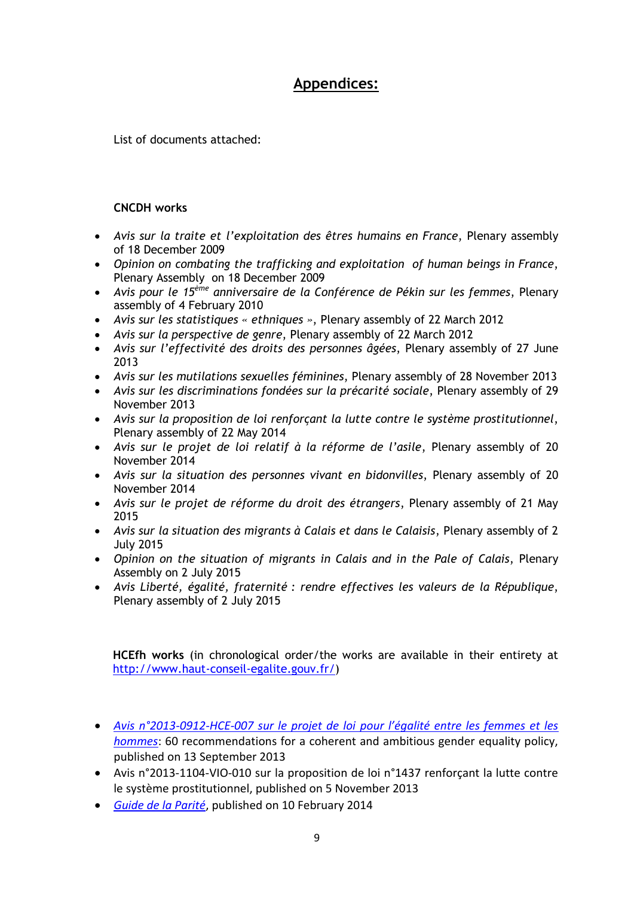# **Appendices:**

List of documents attached:

# **CNCDH works**

- *Avis sur la traite et l'exploitation des êtres humains en France*, Plenary assembly of 18 December 2009
- *Opinion on combating the trafficking and exploitation of human beings in France*, Plenary Assembly on 18 December 2009
- *Avis pour le 15ème anniversaire de la Conférence de Pékin sur les femmes*, Plenary assembly of 4 February 2010
- *Avis sur les statistiques « ethniques »*, Plenary assembly of 22 March 2012
- *Avis sur la perspective de genre*, Plenary assembly of 22 March 2012
- *Avis sur l'effectivité des droits des personnes âgées*, Plenary assembly of 27 June 2013
- *Avis sur les mutilations sexuelles féminines*, Plenary assembly of 28 November 2013
- *Avis sur les discriminations fondées sur la précarité sociale*, Plenary assembly of 29 November 2013
- *Avis sur la proposition de loi renforçant la lutte contre le système prostitutionnel*, Plenary assembly of 22 May 2014
- *Avis sur le projet de loi relatif à la réforme de l'asile*, Plenary assembly of 20 November 2014
- *Avis sur la situation des personnes vivant en bidonvilles*, Plenary assembly of 20 November 2014
- *Avis sur le projet de réforme du droit des étrangers*, Plenary assembly of 21 May 2015
- *Avis sur la situation des migrants à Calais et dans le Calaisis*, Plenary assembly of 2 July 2015
- *Opinion on the situation of migrants in Calais and in the Pale of Calais*, Plenary Assembly on 2 July 2015
- *Avis Liberté, égalité, fraternité : rendre effectives les valeurs de la République*, Plenary assembly of 2 July 2015

**HCEfh works** (in chronological order/the works are available in their entirety at [http://www.haut-conseil-egalite.gouv.fr/\)](http://www.haut-conseil-egalite.gouv.fr/)

- *[Avis n°2013-0912-HCE-007 sur le projet de loi](http://www.haut-conseil-egalite.gouv.fr/IMG/pdf/60_recommandations_projet_de_loi_pour_l_egalite_entre_les_femmes_et_les_hommes-2.pdf) pour l'égalité entre les femmes et les [hommes](http://www.haut-conseil-egalite.gouv.fr/IMG/pdf/60_recommandations_projet_de_loi_pour_l_egalite_entre_les_femmes_et_les_hommes-2.pdf)*: 60 recommendations for a coherent and ambitious gender equality policy, published on 13 September 2013
- Avis n°2013-1104-VIO-010 sur la proposition de loi n°1437 renforçant la lutte contre le système prostitutionnel, published on 5 November 2013
- *[Guide de la Parité](http://www.haut-conseil-egalite.gouv.fr/parite/travaux-du-hcefh-38/article/guide-de-la-parite#top#t1)*, published on 10 February 2014